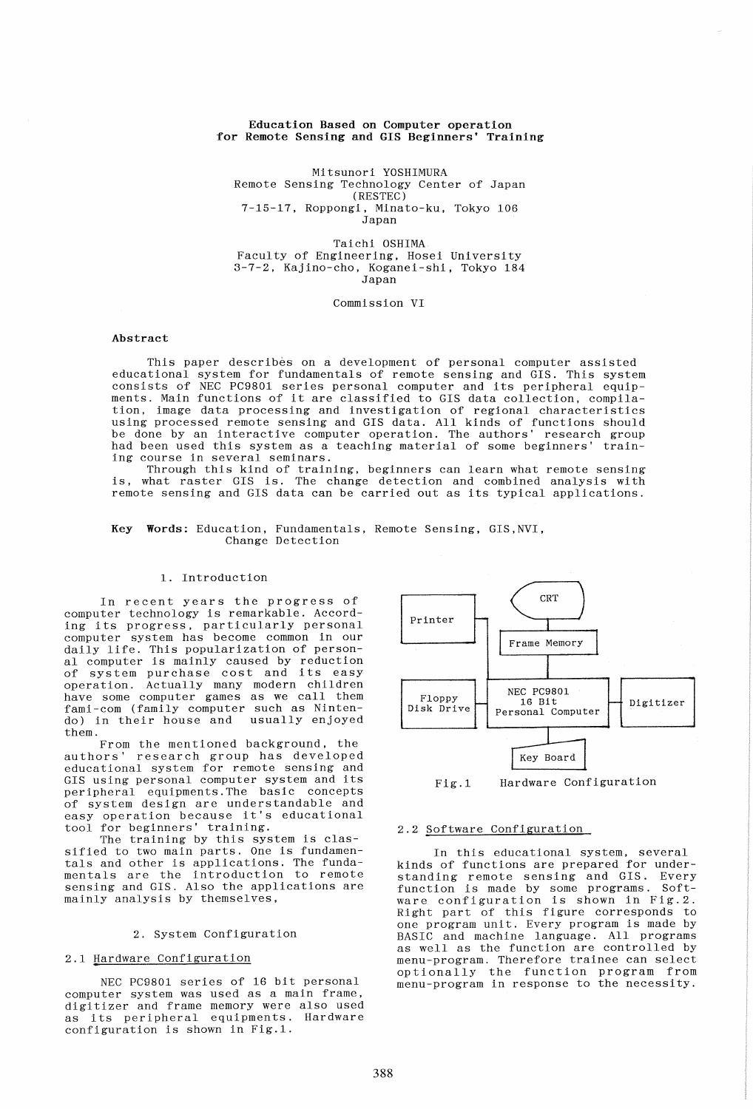## Education Based on Computer operation for Remote Sensing and GIS Beginners' Training

Mitsunori YOSHIMURA Remote Sensing Technology Center of Japan (RESTEC) 7-15-17, Roppongi, Minato-ku, Tokyo 106 Japan

Taichi OSHIMA Faculty of Engineering, Hosei University 3-7-2, Kajino-cho, Koganei-shi, Tokyo 184 Japan

Commission VI

## Abstract

This paper describes on a development of personal computer assisted educational system for fundamentals of remote sensing and GIS. This system consists of NEC PC9801 series personal computer and its peripheral equipments. Main functions of it are classified to GIS data collection, compilation, image data processing and investigation of regional characteristics using processed remote sensing and GIS data. All kinds of functions should be done by an interactive computer operation. The authors' research group had been used this system as a teaching material of some beginners' training course in several seminars.

Through this kind of training, beginners can learn what remote sensing is, what raster GIS is. The change detection and combined analysis with remote sensing and GIS data can be carried out as its typical applications.

### Key Words: Education, Fundamentals, Remote Sensing, GIS,NVI, Change Detection

## 1. Introduction

In recent years the progress of computer technology is remarkable. According its progress, particularly personal computer system has become common in our daily life. This popularization of personal computer is mainly caused by reduction of system purchase cost and its easy operation. Actually many modern children have some computer games as we call them fami-com (family computer such as Nintendo) in their house and usually enjoyed them.

From the mentioned background, the authors' research group has developed educational system for remote sensing and GIS using personal computer system and its peripheral equipments.The basic concepts of system design are understandable and of system design are understandable and<br>easy operation because it's educational tool for beginners' training.

The training by this system is classified to two main parts. One is fundamentals and other is applications. The fundamentals are the introduction to remote sensing and GIS. Also the applications are mainly analysis by themselves,

## 2. System Configuration

## 2.1 Hardware Configuration

NEC PC9801 series of 16 bit personal computer system was used as a main frame, digitizer and frame memory were also used as its peripheral equipments. Hardware configuration is shown in Fig.1.



Fig.1 Hardware Configuration

# 2.2 Software Configuration

In this educational system, several kinds of functions are prepared for understanding remote sensing and GIS. Every function is made by some programs. Softrunction is made by some programs. Sort Right part of this figure corresponds to one program unit. Every program is made by BASIC and machine language. All programs as well as the function are controlled by menu-program. Therefore trainee can select optionally the function program from menu-program in response to the necessity.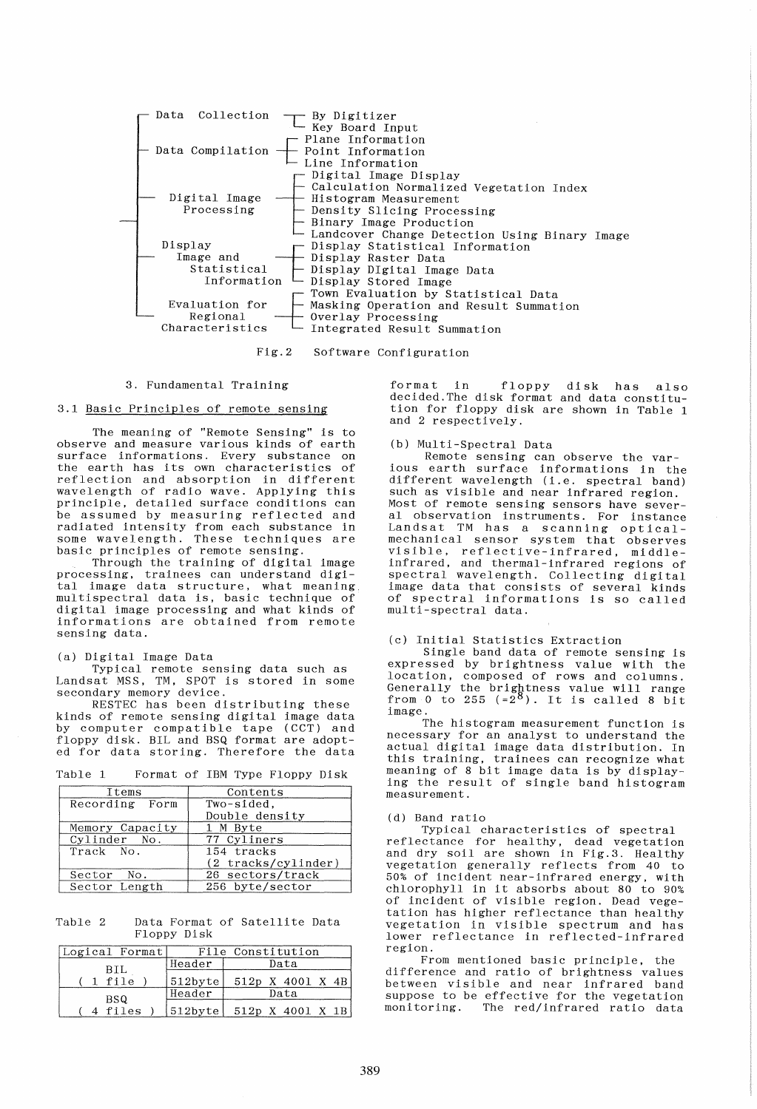

Fig.2 Software Configuration

### 3. Fundamental Training

## 3.1 Basic Principles of remote sensing

The meaning of "Remote Sensing" is to observe and measure various kinds of earth surface informations. Every substance on the earth has its own characteristics of reflection and absorption in different wavelength of radio wave. Applying this principle, detailed surface conditions can be assumed by measuring reflected and radiated intensity from each substance in some wavelength. These techniques are basic principles of remote sensing.

Through the training of digital image processing, trainees can understand digi-tal image data structure, what meaning, multispectral data is, basic technique of digital image processing and what kinds of informations are obtained from remote sensing data.

#### (a) Digital Image Data

Typical remote sensing data such as Landsat MSS, TM, SPOT is stored in some secondary memory device. RESTEC has been distributing these

kinds of remote sensing digital image data by computer compatible tape (CCT) and floppy disk. BIL and BSQ format are adopted for data storing. Therefore the data

| Table 1 | Format of IBM Type Floppy Disk |  |  |  |
|---------|--------------------------------|--|--|--|
|         |                                |  |  |  |

| Items           | Contents              |  |  |
|-----------------|-----------------------|--|--|
| Recording Form  | Two-sided.            |  |  |
|                 | Double density        |  |  |
| Memory Capacity | 1 M Byte              |  |  |
| Cylinder No.    | 77 Cyliners           |  |  |
| Track No.       | 154 tracks            |  |  |
|                 | $(2$ tracks/cylinder) |  |  |
| Sector No.      | 26 sectors/track      |  |  |
| Sector Length   | 256 byte/sector       |  |  |

Table 2 Data Format of Satellite Data Floppy Disk

| Logical Format |            | File Constitution |
|----------------|------------|-------------------|
| BIL            | Header     | Data              |
| 1 file         | 512byte    | 512p X 4001 X 4B  |
| BSQ.           | Header     | Data              |
| files          | $512$ byte | 512p X 4001 X 1B  |

format in floppy disk has also decided. The disk format and data constitution for floppy disk are shown in Table 1 and 2 respectively.

## (b) Multi-Spectral Data

Remote sensing can observe the various earth surface informations in the different wavelength (i.e. spectral band) such as visible and near infrared region. Most of remote sensing sensors have several observation instruments. For instance al observation instruments, for instance<br>Landsat TM has a scanning opticalmechanical sensor system that observes visible, reflective-infrared, middleinfrared, and thermal-infrared regions of spectral wavelength. Collecting digital image data that consists of several kinds of spectral informations is so called multi-spectral data.

## (c) Initial Statistics Extraction

Single band data of remote sensing is expressed by brightness value with the location, composed of rows and columns. Generally the brightness value will range<br>from 0 to 255  $(=2^8)$ . It is called 8 bit image.

The histogram measurement function is necessary for an analyst to understand the actual digital image data distribution. In this training, trainees can recognize what meaning of 8 bit image data is by displaying the result of single band histogram measurement.

#### (d) Band ratio

Typical characteristics of spectral reflectance for healthy, dead vegetation and dry soil are shown in Fig.3. Healthy vegetation generally reflects from 40 to 50% of incident near-infrared energy, with chlorophyll in it absorbs about 80 to 90% of incident of visible region. Dead vegetation has higher reflectance than healthy vegetation in visible spectrum and has lower reflectance in reflected-infrared region.

From mentioned basic principle, the difference and ratio of brightness values between visible and near infrared band suppose to be effective for the vegetation moni toring. The red/infrared ratio data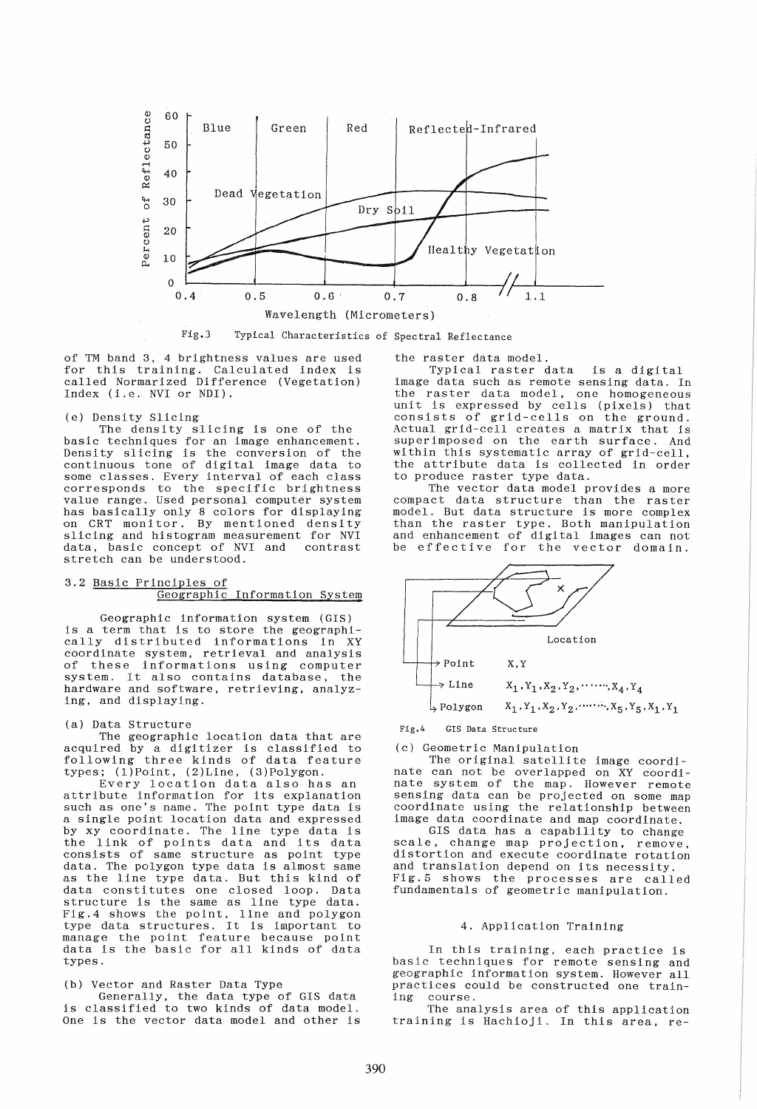

Fig.3 Typical Characteristics of Spectral Reflectance

of TM band 3, 4 brightness values are used of in band b, 4 brightness varies are used<br>for this training. Calculated index is called Normarized Difference (Vegetation) Index (i.e. NVI or NDI).

## (e) Density Slicing

The density slicing is one of the basic techniques for an image enhancement. basic committees for an image emmancement. continuous tone of digi tal image data to some classes. Every interval of each class corresponds to the specific brightness value range. Used personal computer system has basically only 8 colors for displaying on CRT monitor. By mentioned density slicing and histogram measurement for NVI data, basic concept of NVI and contrast data, basic concept of NVI and stretch can be understood.

#### 3.2 Basic Principles of Geographic Information System

Geographic information system (GIS) is a term that is to store the geographically distributed informations in XY coordinate system, retrieval and analysis of these informations using computer system. It also contains database, the hardware and software, retrieving, analyzing, and displaying.

#### (a) Data Structure

The geographic location data that are acquired by a digitizer is classified to following three kinds of data feature types; (1)Point, (2)Line, (3)Polygon.

Every location data also has an attribute information for its explanation such as one's name. The point type data is a single point location data and expressed by xy coordinate. The line type data is by xy coordinate. The line type data is<br>the link of points data and its data consists of same structure as point type data. The polygon type data is almost same as the line type data. But this kind of data constitutes one closed loop. Data structure is the same as line type data. Fig.4 shows the point, line and polygon type data structures. It is important to manage the point feature because point data is the basic for all kinds of data types.

## (b) Vector and Raster Data Type

Generally, the data type of GIS data is classified to two kinds of data model. One is the vector data model and other is the raster data model.

Typical raster data is a digital image data such as remote sensing data. In the raster data model, one homogeneous and the contract of the model of the contract of the unit is expressed by cells (pixels) that consists of grid-cells on the ground. Actual grid-cell creates a matrix that is superimposed on the earth surface. And within this systematic array of grid-cell, the attribute data is collected in order to produce raster type data.

The vector data model provides a more compact data structure than the raster model. But data structure is more complex than the raster type. Both manipulation and enhancement of digital images can not be effective for the vector domain.



## Fig.4 GIS Data Structure

(c) Geometric Manipulation

The original satellite image coordinate can not be overlapped on XY coordinate system of the map. However remote sensing data can be projected on some map coordinate using the relationship between image data coordinate and map coordinate.

GIS data has a capability to change scale, change map projection, remove, distortion and execute coordinate rotation and translation depend on its necessity. and cransfacton acpend on its necessity.<br>Fig.5 shows the processes are called fundamentals of geometric manipulation.

## 4. Application Training

In this training, each practice is basic techniques for remote sensing and geographic information system. However all practices could be constructed one train-<br>ing course. course.

The analysis area of this application training is Hachioji. In this area, re-